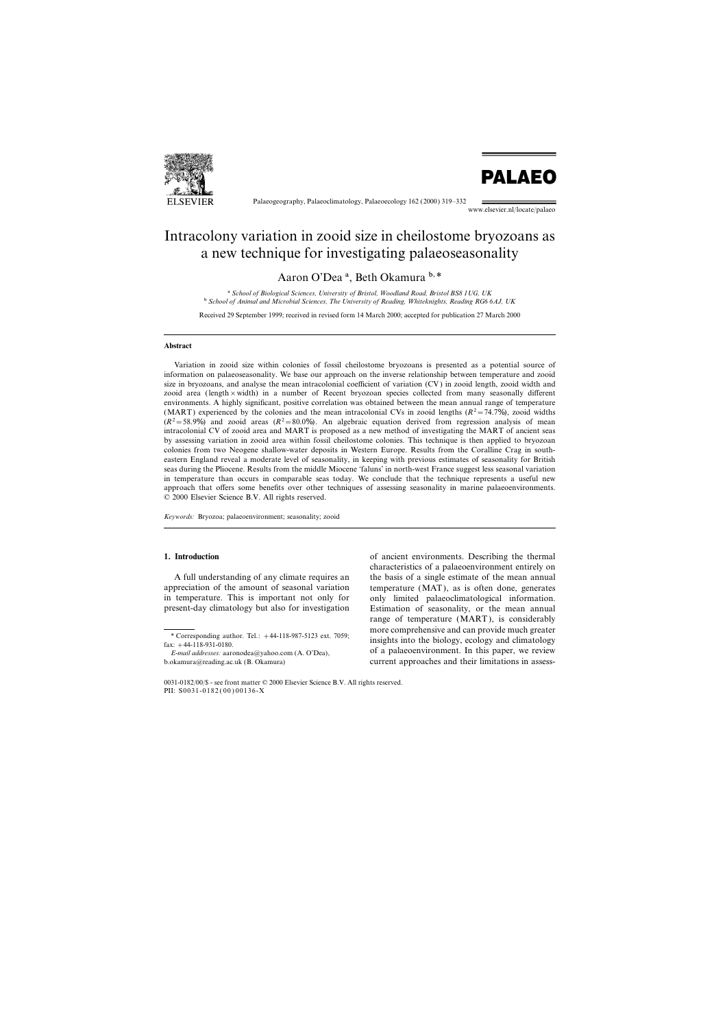

Palaeogeography, Palaeoclimatology, Palaeoecology 162 (2000) 319–332

www.elsevier.nl/locate/palaeo

**PALAEO** 

## Intracolony variation in zooid size in cheilostome bryozoans as a new technique for investigating palaeoseasonality

Aaron O'Dea<sup>a</sup>, Beth Okamura b,\*

a *School of Biological Sciences, University of Bristol, Woodland Road, Bristol BS8 1UG, UK* b *School of Animal and Microbial Sciences, The University of Reading, Whiteknights, Reading RG6 6AJ, UK*

Received 29 September 1999; received in revised form 14 March 2000; accepted for publication 27 March 2000

### **Abstract**

Variation in zooid size within colonies of fossil cheilostome bryozoans is presented as a potential source of information on palaeoseasonality. We base our approach on the inverse relationship between temperature and zooid size in bryozoans, and analyse the mean intracolonial coefficient of variation (CV ) in zooid length, zooid width and zooid area (length×width) in a number of Recent bryozoan species collected from many seasonally different environments. A highly significant, positive correlation was obtained between the mean annual range of temperature (MART) experienced by the colonies and the mean intracolonial CVs in zooid lengths  $(R^2 = 74.7\%)$ , zooid widths  $(R^2 = 58.9\%)$  and zooid areas  $(R^2 = 80.0\%)$ . An algebraic equation derived from regression analysis of mean intracolonial CV of zooid area and MART is proposed as a new method of investigating the MART of ancient seas by assessing variation in zooid area within fossil cheilostome colonies. This technique is then applied to bryozoan colonies from two Neogene shallow-water deposits in Western Europe. Results from the Coralline Crag in southeastern England reveal a moderate level of seasonality, in keeping with previous estimates of seasonality for British seas during the Pliocene. Results from the middle Miocene 'faluns' in north-west France suggest less seasonal variation in temperature than occurs in comparable seas today. We conclude that the technique represents a useful new approach that offers some benefits over other techniques of assessing seasonality in marine palaeoenvironments. © 2000 Elsevier Science B.V. All rights reserved.

*Keywords:* Bryozoa; palaeoenvironment; seasonality; zooid

**1. Introduction** of ancient environments. Describing the thermal characteristics of a palaeoenvironment entirely on A full understanding of any climate requires an the basis of a single estimate of the mean annual appreciation of the amount of seasonal variation temperature (MAT), as is often done, generates in temperature. This is important not only for only limited palaeoclimatological information. present-day climatology but also for investigation Estimation of seasonality, or the mean annual range of temperature (MART), is considerably \* Corresponding author. Tel.: +44-118-987-5123 ext. 7059;<br>
fax: +44-118-931-0180.<br> **imatology** fax: +44-118-931-0180. *E-mail addresses:* aaronodea@yahoo.com (A. O'Dea), of a palaeoenvironment. In this paper, we review b.okamura@reading.ac.uk (B. Okamura) current approaches and their limitations in assess-

<sup>0031-0182</sup>/00/\$ - see front matter © 2000 Elsevier Science B.V. All rights reserved. PII: S0031-0182(00)00136-X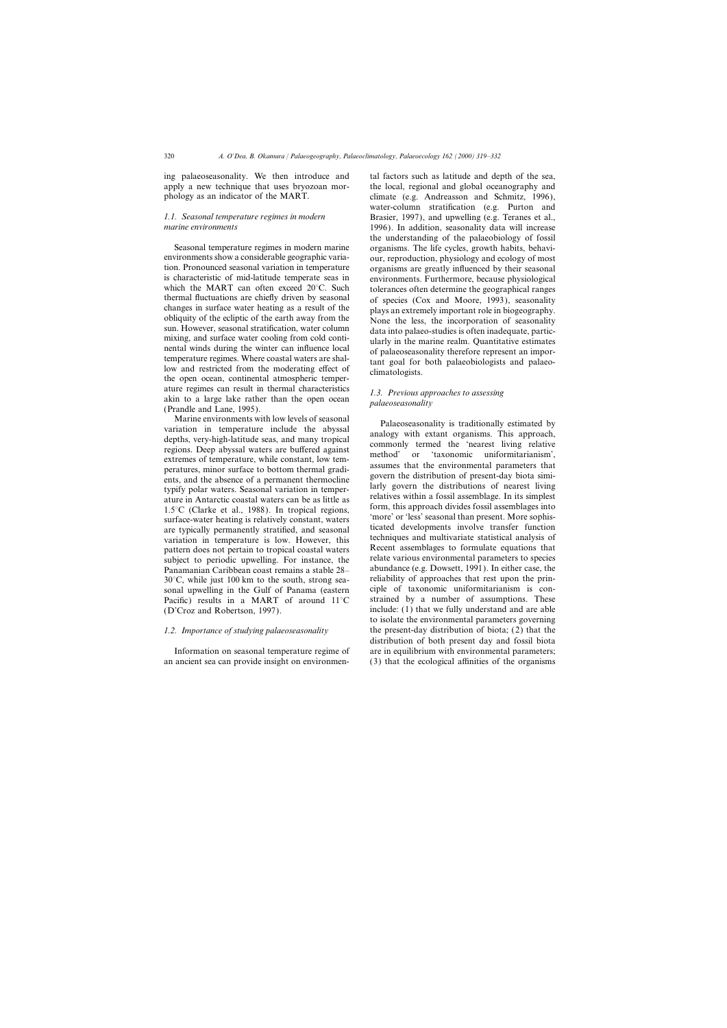apply a new technique that uses bryozoan mor- the local, regional and global oceanography and phology as an indicator of the MART. climate (e.g. Andreasson and Schmitz, 1996),

environments show a considerable geographic varia-<br>tion. Pronounced seasonal variation in temperature organisms are greatly influenced by their seasonal tion. Pronounced seasonal variation in temperature organisms are greatly influenced by their seasonal<br>is characteristic of mid-latitude temperate seas in environments. Furthermore because physiological is characteristic of mid-latitude temperate seas in environments. Furthermore, because physiological<br>which the MART can often exceed 20°C. Such tolerances often determine the geographical ranges which the MART can often exceed 20 $^{\circ}$ C. Such tolerances often determine the geographical ranges thermal fluctuations are chiefly driven by seasonal of species  $(Cox, and Moore, 1993)$  seasonality thermal fluctuations are chiefly driven by seasonal<br>changes in surface water heating as a result of the<br>obliquity of the ecliptic of the earth away from the<br>obliquity of the ecliptic of the earth away from the<br>sun. However ature regimes can result in thermal characteristics also assessing a skin to a large lake rather than the open ocean *palaeoseasonality* (Prandle and Lane, 1995). Marine environments with low levels of seasonal

Marine environments with low levels of seasonal<br>variation in temperature include the abyssal<br>depths, very-high-latitude seas, and many tropical<br>regions. Deep abyssal waters are buffered against<br>extremes of temperature, whi 1.5°C (Clarke et al., 1988). In tropical regions,<br>surface-water heating is relatively constant, waters<br>are typically permanently stratified, and seasonal<br>variation in temperature is low. However, this<br>pattern does not pert Panamanian Caribbean coast remains a stable 28–<br>30°C, while just 100 km to the south, strong sea-<br>reliability of approaches that rest upon the prin-30°C, while just 100 km to the south, strong sea-<br>sonal unwelling in the Gulf of Panama (eastern ciple of taxonomic uniformitarianism is consonal upwelling in the Gulf of Panama (eastern ciple of taxonomic uniformitarianism is con-<br>Pacific) results in a MART of around  $11^{\circ}$ C strained by a number of assumptions. These Pacific) results in a MART of around  $11^{\circ}$ C (D'Croz and Robertson, 1997). include: (1) that we fully understand and are able

an ancient sea can provide insight on environmen- (3) that the ecological affinities of the organisms

ing palaeoseasonality. We then introduce and tal factors such as latitude and depth of the sea, water-column stratification (e.g. Purton and *1.1. Seasonal temperature regimes in modern* Brasier, 1997), and upwelling (e.g. Teranes et al., *marine environments* 1996). In addition, seasonality data will increase the understanding of the palaeobiology of fossil Seasonal temperature regimes in modern marine organisms. The life cycles, growth habits, behavi-

to isolate the environmental parameters governing *1.2. Importance of studying palaeoseasonality* the present-day distribution of biota; (2) that the distribution of both present day and fossil biota Information on seasonal temperature regime of are in equilibrium with environmental parameters;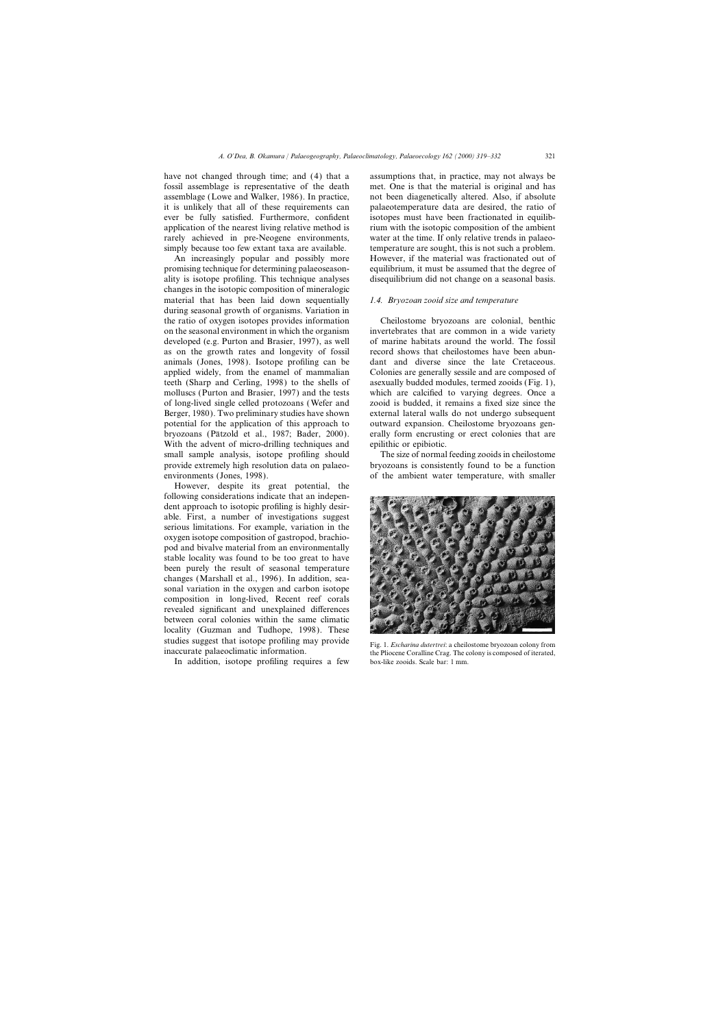have not changed through time; and (4) that a assumptions that, in practice, may not always be fossil assemblage is representative of the death met. One is that the material is original and has assemblage (Lowe and Walker, 1986). In practice, not been diagenetically altered. Also, if absolute it is unlikely that all of these requirements can palaeotemperature data are desired, the ratio of ever be fully satisfied. Furthermore, confident isotopes must have been fractionated in equilibapplication of the nearest living relative method is rium with the isotopic composition of the ambient rarely achieved in pre-Neogene environments, water at the time. If only relative trends in palaeo-

promising technique for determining palaeoseason- equilibrium, it must be assumed that the degree of ality is isotope profiling. This technique analyses disequilibrium did not change on a seasonal basis. changes in the isotopic composition of mineralogic material that has been laid down sequentially *1.4. Bryozoan zooid size and temperature* during seasonal growth of organisms. Variation in the ratio of oxygen isotopes provides information Cheilostome bryozoans are colonial, benthic on the seasonal environment in which the organism invertebrates that are common in a wide variety developed (e.g. Purton and Brasier, 1997), as well of marine habitats around the world. The fossil as on the growth rates and longevity of fossil record shows that cheilostomes have been abunanimals (Jones, 1998). Isotope profiling can be dant and diverse since the late Cretaceous. applied widely, from the enamel of mammalian Colonies are generally sessile and are composed of teeth (Sharp and Cerling, 1998) to the shells of asexually budded modules, termed zooids (Fig. 1), molluscs (Purton and Brasier, 1997) and the tests which are calcified to varying degrees. Once a of long-lived single celled protozoans ( Wefer and zooid is budded, it remains a fixed size since the Berger, 1980). Two preliminary studies have shown external lateral walls do not undergo subsequent potential for the application of this approach to outward expansion. Cheilostome bryozoans genbryozoans (Pätzold et al., 1987; Bader, 2000). erally form encrusting or erect colonies that are With the advent of micro-drilling techniques and epilithic or epibiotic. small sample analysis, isotope profiling should The size of normal feeding zooids in cheilostome provide extremely high resolution data on palaeo- bryozoans is consistently found to be a function environments (Jones, 1998). of the ambient water temperature, with smaller

However, despite its great potential, the following considerations indicate that an independent approach to isotopic profiling is highly desirable. First, a number of investigations suggest serious limitations. For example, variation in the oxygen isotope composition of gastropod, brachiopod and bivalve material from an environmentally stable locality was found to be too great to have been purely the result of seasonal temperature changes (Marshall et al., 1996). In addition, seasonal variation in the oxygen and carbon isotope composition in long-lived, Recent reef corals revealed significant and unexplained differences between coral colonies within the same climatic locality (Guzman and Tudhope, 1998). These studies suggest that isotope profiling may provide<br>
Fig. 1. *Escharina dutertrei*: a cheilostome bryozoan colony from<br>
the Pliocene Coralline Crag The colony is composed of iterated

In addition, isotope profiling requires a few box-like zooids. Scale bar: 1 mm.

simply because too few extant taxa are available. temperature are sought, this is not such a problem. An increasingly popular and possibly more However, if the material was fractionated out of



the Pliocene Coralline Crag. The colony is composed of iterated,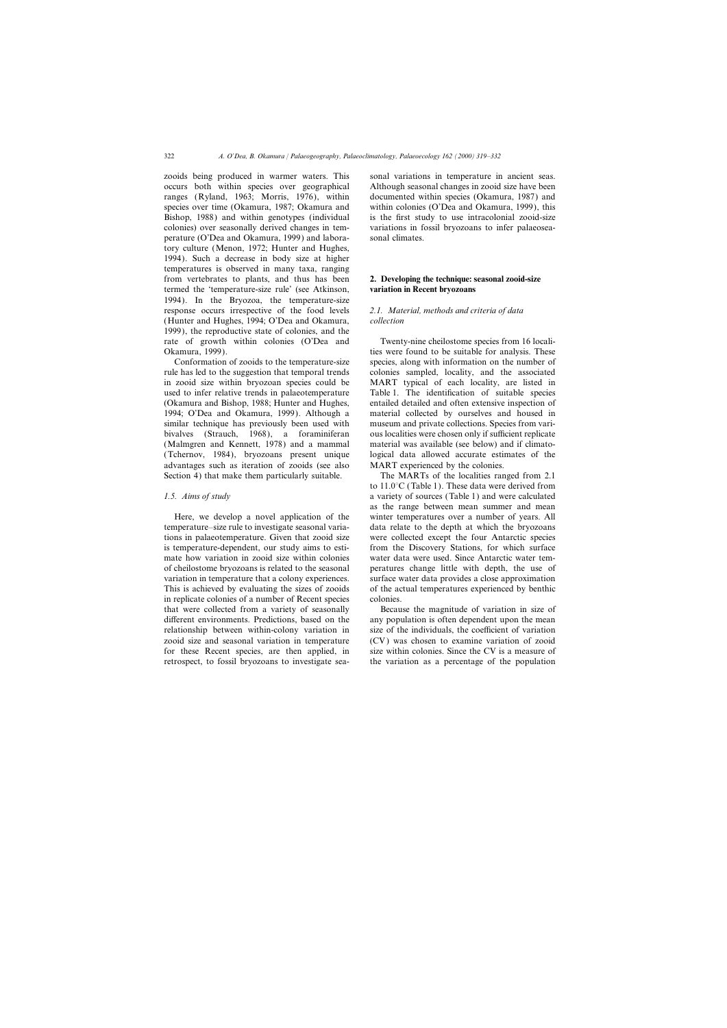zooids being produced in warmer waters. This sonal variations in temperature in ancient seas. occurs both within species over geographical Although seasonal changes in zooid size have been ranges (Ryland, 1963; Morris, 1976), within documented within species (Okamura, 1987) and species over time (Okamura, 1987; Okamura and vithin colonies (O'Dea and Okamura, 1999), this Bishop, 1988) and within genotypes (individual is the first study to use intracolonial zooid-size colonies) over seasonally derived changes in tem- variations in fossil bryozoans to infer palaeoseaperature (O'Dea and Okamura, 1999) and labora- sonal climates. tory culture (Menon, 1972; Hunter and Hughes, 1994). Such a decrease in body size at higher temperatures is observed in many taxa, ranging from vertebrates to plants, and thus has been **2. Developing the technique: seasonal zooid-size** termed the 'temperature-size rule' (see Atkinson, **variation in Recent bryozoans** 1994). In the Bryozoa, the temperature-size response occurs irrespective of the food levels *2.1. Material, methods and criteria of data* (Hunter and Hughes, 1994; O'Dea and Okamura, *collection* 1999), the reproductive state of colonies, and the rate of growth within colonies (O'Dea and Twenty-nine cheilostome species from 16 locali-Okamura, 1999). ties were found to be suitable for analysis. These

rule has led to the suggestion that temporal trends in zooid size within bryozoan species could be MART typical of each locality, are listed in used to infer relative trends in palaeotemperature (Okamura and Bishop, 1988; Hunter and Hughes, entailed detailed and often extensive inspection of 1994; O'Dea and Okamura, 1999). Although a material collected by ourselves and housed in similar technique has previously been used with museum and private collections. Species from varibivalves (Strauch, 1968), a foraminiferan ous localities were chosen only if sufficient replicate (Malmgren and Kennett, 1978) and a mammal material was available (see below) and if climato- (Tchernov, 1984), bryozoans present unique logical data allowed accurate estimates of the advantages such as iteration of zooids (see also MART experienced by the colonies. Section 4) that make them particularly suitable. The MARTs of the localities ranged from 2.1

temperature–size rule to investigate seasonal varia- data relate to the depth at which the bryozoans tions in palaeotemperature. Given that zooid size were collected except the four Antarctic species is temperature-dependent, our study aims to esti- from the Discovery Stations, for which surface mate how variation in zooid size within colonies water data were used. Since Antarctic water temof cheilostome bryozoans is related to the seasonal peratures change little with depth, the use of variation in temperature that a colony experiences. surface water data provides a close approximation This is achieved by evaluating the sizes of zooids of the actual temperatures experienced by benthic in replicate colonies of a number of Recent species colonies. that were collected from a variety of seasonally Because the magnitude of variation in size of different environments. Predictions, based on the any population is often dependent upon the mean relationship between within-colony variation in size of the individuals, the coefficient of variation zooid size and seasonal variation in temperature (CV ) was chosen to examine variation of zooid for these Recent species, are then applied, in size within colonies. Since the CV is a measure of retrospect, to fossil bryozoans to investigate sea- the variation as a percentage of the population

Conformation of zooids to the temperature-size species, along with information on the number of le has led to the suggestion that temporal trends colonies sampled, locality, and the associated

to 11.0°C (Table 1). These data were derived from *1.5. Aims of study* a variety of sources (Table 1) and were calculated as the range between mean summer and mean Here, we develop a novel application of the winter temperatures over a number of years. All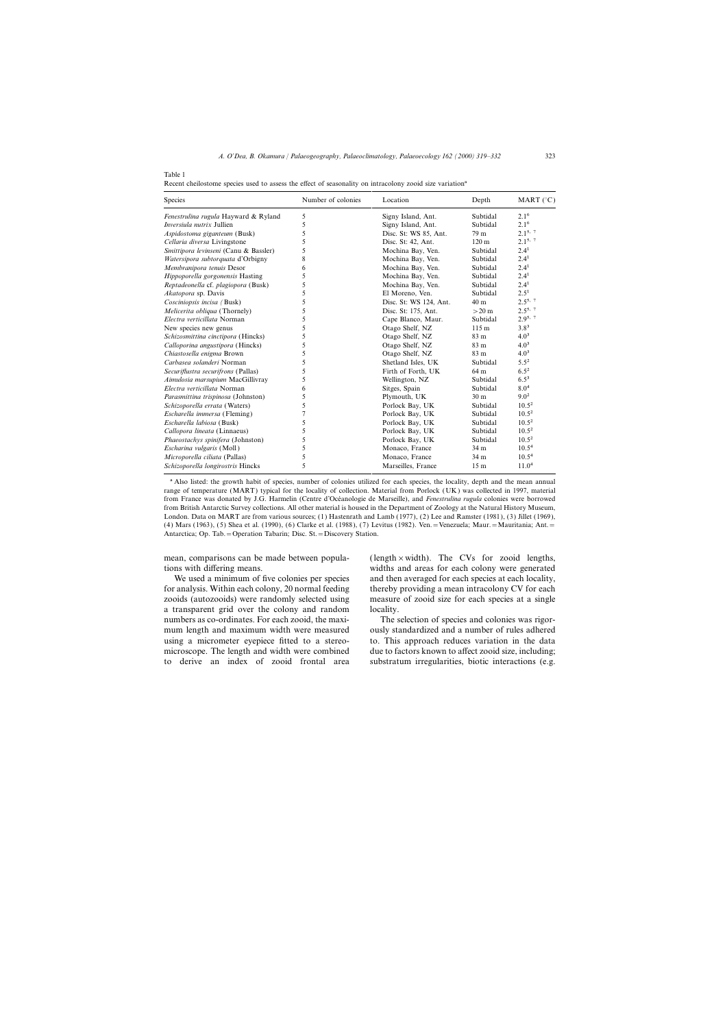### Table 1

| Recent cheilostome species used to assess the effect of seasonality on intracolony zooid size variation <sup>a</sup> |  |  |  |  |  |  |  |
|----------------------------------------------------------------------------------------------------------------------|--|--|--|--|--|--|--|
|                                                                                                                      |  |  |  |  |  |  |  |

| Species                                 | Number of colonies | Location               | Depth            | MART $(C)$          |  |
|-----------------------------------------|--------------------|------------------------|------------------|---------------------|--|
| Fenestrulina rugula Hayward & Ryland    | 5                  | Signy Island, Ant.     | Subtidal         | $2.1^{6}$           |  |
| <i>Inversiula nutrix</i> Jullien        | 5                  | Signy Island, Ant.     | Subtidal         | 2.1 <sup>6</sup>    |  |
| Aspidostoma giganteum (Busk)            | 5                  | Disc. St: WS 85, Ant.  | 79 m             | $2.1^{5,7}$         |  |
| Cellaria diversa Livingstone            | 5                  | Disc. St: 42, Ant.     | 120 <sub>m</sub> | $2.1^{5,7}$         |  |
| Smittipora levinseni (Canu & Bassler)   | 5                  | Mochina Bay, Ven.      | Subtidal         | $2.4^{1}$           |  |
| Watersipora subtorquata d'Orbigny       | 8                  | Mochina Bay, Ven.      | Subtidal         | $2.4^{1}$           |  |
| Membranipora tenuis Desor               | 6                  | Mochina Bay, Ven.      | Subtidal         | $2.4^{1}$           |  |
| <i>Hippoporella gorgonensis</i> Hasting | 5                  | Mochina Bay, Ven.      | Subtidal         | $2.4^{1}$           |  |
| Reptadeonella cf. plagiopora (Busk)     | 5                  | Mochina Bay, Ven.      | Subtidal         | $2.4^{1}$           |  |
| Akatopora sp. Davis                     | 5                  | El Moreno, Ven.        | Subtidal         | $2.5^{1}$           |  |
| Cosciniopsis incisa (Busk)              | 5                  | Disc. St: WS 124, Ant. | 40 <sub>m</sub>  | $2.5^{5,7}$         |  |
| Melicerita obliqua (Thornely)           | 5                  | Disc. St: 175, Ant.    | $>20$ m          | $2.5^{5,7}$         |  |
| Electra verticillata Norman             | 5                  | Cape Blanco, Maur.     | Subtidal         | 2.9 <sup>5, 7</sup> |  |
| New species new genus                   | 5                  | Otago Shelf, NZ        | 115 <sub>m</sub> | $3.8^{3}$           |  |
| Schizosmittina cinctipora (Hincks)      | 5                  | Otago Shelf, NZ        | 83 <sub>m</sub>  | $4.0^{3}$           |  |
| Calloporina angustipora (Hincks)        | 5                  | Otago Shelf, NZ        | 83 <sub>m</sub>  | $4.0^{3}$           |  |
| Chiastosella enigma Brown               | 5                  | Otago Shelf, NZ        | 83 <sub>m</sub>  | $4.0^{3}$           |  |
| Carbasea solanderi Norman               | 5                  | Shetland Isles, UK     | Subtidal         | $5.5^{2}$           |  |
| Securiflustra securifrons (Pallas)      | 5                  | Firth of Forth, UK     | 64 m             | $6.5^{2}$           |  |
| Aimulosia marsupium MacGillivray        | 5                  | Wellington, NZ         | Subtidal         | $6.5^{3}$           |  |
| Electra verticillata Norman             | 6                  | Sitges, Spain          | Subtidal         | 8.0 <sup>4</sup>    |  |
| Parasmittina trispinosa (Johnston)      | 5                  | Plymouth, UK           | 30 <sub>m</sub>  | $9.0^2$             |  |
| Schizoporella errata (Waters)           | 5                  | Porlock Bay, UK        | Subtidal         | $10.5^2$            |  |
| <i>Escharella immersa</i> (Fleming)     | 7                  | Porlock Bay, UK        | Subtidal         | $10.5^2$            |  |
| Escharella labiosa (Busk)               | 5                  | Porlock Bay, UK        | Subtidal         | $10.5^2$            |  |
| Callopora lineata (Linnaeus)            | 5                  | Porlock Bay, UK        | Subtidal         | $10.5^2$            |  |
| Phaeostachys spinifera (Johnston)       | 5                  | Porlock Bay, UK        | Subtidal         | $10.5^2$            |  |
| Escharina vulgaris (Moll)               | 5                  | Monaco, France         | 34 m             | 10.5 <sup>4</sup>   |  |
| Microporella ciliata (Pallas)           | 5                  | Monaco, France         | 34 m             | 10.5 <sup>4</sup>   |  |
| Schizoporella longirostris Hincks       | 5                  | Marseilles, France     | 15 <sub>m</sub>  | 11.0 <sup>4</sup>   |  |

a Also listed: the growth habit of species, number of colonies utilized for each species, the locality, depth and the mean annual range of temperature (MART) typical for the locality of collection. Material from Porlock (UK) was collected in 1997, material from France was donated by J.G. Harmelin (Centre d'Océanologie de Marseille), and *Fenestrulina rugula* colonies were borrowed from British Antarctic Survey collections. All other material is housed in the Department of Zoology at the Natural History Museum, London. Data on MART are from various sources; (1) Hastenrath and Lamb (1977), (2) Lee and Ramster (1981), (3) Jillet (1969), (4) Mars (1963), (5) Shea et al. (1990), (6) Clarke et al. (1988), (7) Levitus (1982). Ven.=Venezuela; Maur.=Mauritania; Ant.= Antarctica; Op. Tab.=Operation Tabarin; Disc. St.=Discovery Station.

for analysis. Within each colony, 20 normal feeding thereby providing a mean intracolony CV for each zooids (autozooids) were randomly selected using measure of zooid size for each species at a single a transparent grid over the colony and random locality. numbers as co-ordinates. For each zooid, the maxi-<br>The selection of species and colonies was rigormum length and maximum width were measured ously standardized and a number of rules adhered using a micrometer eyepiece fitted to a stereo- to. This approach reduces variation in the data microscope. The length and width were combined due to factors known to affect zooid size, including; to derive an index of zooid frontal area substratum irregularities, biotic interactions (e.g.

mean, comparisons can be made between popula- (length  $\times$  width). The CVs for zooid lengths, tions with differing means. widths and areas for each colony were generated We used a minimum of five colonies per species and then averaged for each species at each locality,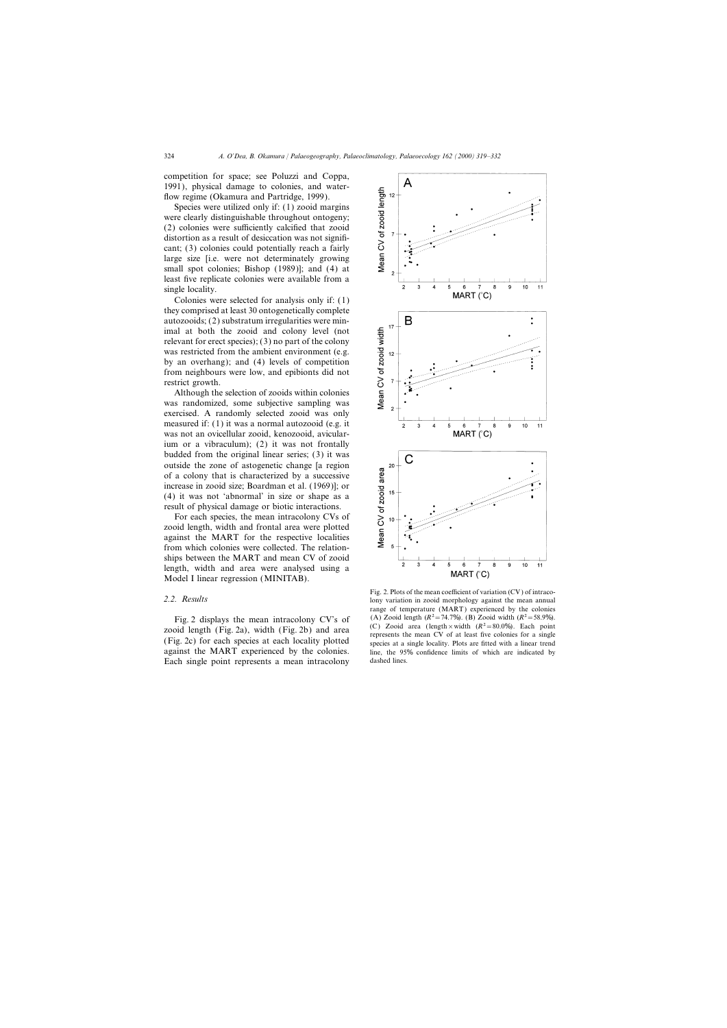competition for space; see Poluzzi and Coppa, 1991), physical damage to colonies, and waterflow regime (Okamura and Partridge, 1999).

Species were utilized only if: (1) zooid margins were clearly distinguishable throughout ontogeny; (2) colonies were sufficiently calcified that zooid distortion as a result of desiccation was not significant; (3) colonies could potentially reach a fairly large size [i.e. were not determinately growing small spot colonies; Bishop (1989)]; and (4) at least five replicate colonies were available from a single locality.

Colonies were selected for analysis only if: (1) they comprised at least 30 ontogenetically complete autozooids; (2) substratum irregularities were minimal at both the zooid and colony level (not relevant for erect species); (3) no part of the colony was restricted from the ambient environment (e.g. by an overhang); and (4) levels of competition from neighbours were low, and epibionts did not restrict growth.

Although the selection of zooids within colonies was randomized, some subjective sampling was exercised. A randomly selected zooid was only measured if: (1) it was a normal autozooid (e.g. it was not an ovicellular zooid, kenozooid, avicularium or a vibraculum); (2) it was not frontally budded from the original linear series; (3) it was outside the zone of astogenetic change [a region of a colony that is characterized by a successive increase in zooid size; Boardman et al. (1969)]; or (4) it was not 'abnormal' in size or shape as a result of physical damage or biotic interactions.

For each species, the mean intracolony CVs of zooid length, width and frontal area were plotted against the MART for the respective localities from which colonies were collected. The relationships between the MART and mean CV of zooid length, width and area were analysed using a Model I linear regression (MINITAB).

zooid length (Fig. 2a), width (Fig. 2b) and area<br>(Fig. 2c) for each species at each locality plotted<br>species at a single locality. Plots are fitted with a linear trend against the MART experienced by the colonies. line, the 95% confidence limits of which are indicated by Each single point represents a mean intracolony dashed lines.



Fig. 2. Plots of the mean coefficient of variation (CV ) of intraco-*2.2. Results* lony variation in zooid morphology against the mean annual range of temperature (MART) experienced by the colonies Fig. 2 displays the mean intracolony CV's of (A) Zooid length  $(R^2 = 74.7\%)$ . (B) Zooid width  $(R^2 = 58.9\%)$ .<br>(C) Zooid area (length x width  $(R^2 = 80.0\%)$ ). Each point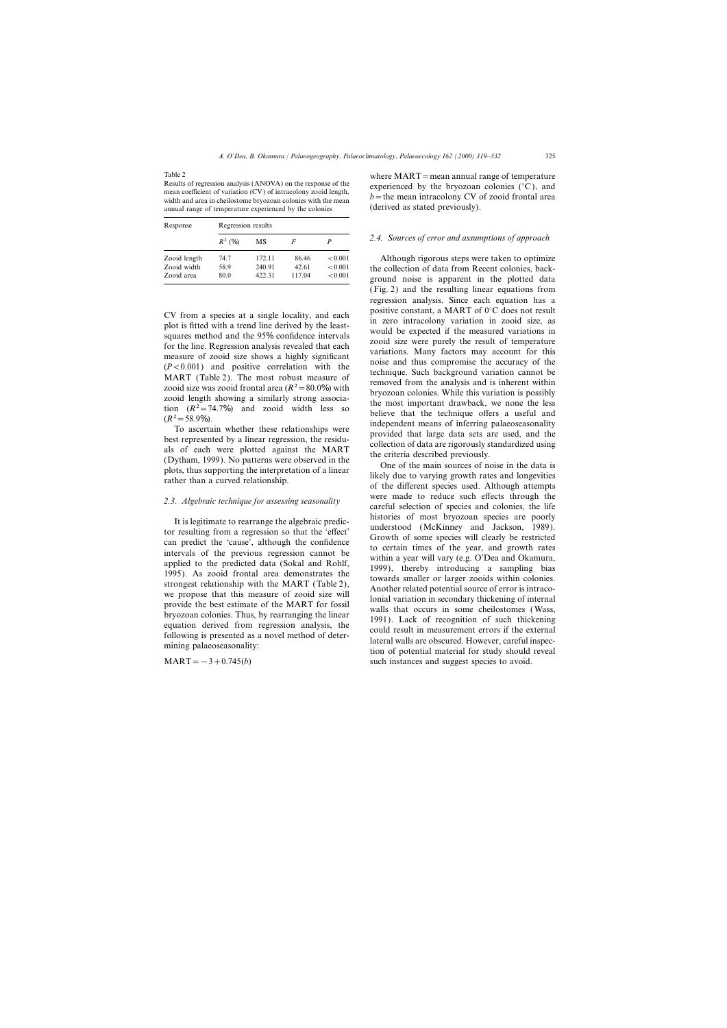annual range of temperature experienced by the colonies

| Response                                  | Regression results   |                            |                          |                               |  |  |  |  |
|-------------------------------------------|----------------------|----------------------------|--------------------------|-------------------------------|--|--|--|--|
|                                           | $R^2$ (%)            | МS                         | F                        | P                             |  |  |  |  |
| Zooid length<br>Zooid width<br>Zooid area | 74.7<br>58.9<br>80.0 | 172.11<br>240.91<br>422.31 | 86.46<br>42.61<br>117.04 | < 0.001<br>< 0.001<br>< 0.001 |  |  |  |  |

Table 2 where MART = mean annual range of temperature<br>Results of regression analysis (ANOVA) on the response of the synonianced by the hyvergon epolenics  $(^{\circ}C)$  and Results of regression analysis (ANOVA) on the response of the<br>mean coefficient of variation (CV) of intracolony zooid length,<br>width and area in cheilostome bryozoan colonies with the mean<br>annual range of temperature exper

### 2.4. Sources of error and assumptions of approach

Although rigorous steps were taken to optimize the collection of data from Recent colonies, back-<br>ground noise is apparent in the plotted data (Fig. 2) and the resulting linear equations from regression analysis. Since each equation has a CV from a species at a single locality, and each<br>
positive constant, a MART of 0°C does not result<br>
in zero intracedour variations in zooid size, as<br>
squares method and the 95% confidence interval would be expected if the

2.3. Algebraic technique for assessing seasonality were made to reduce such effects through the careful selection of species and colonies, the life The segitimate to rearrange the algebraic predictions of most bryozoan species are poorly<br>tor resulting from a regression so that the 'effect' understood (McKinney and Jackson, 1989).<br>can predict the 'cause', although the MART = −3+0.745(*b*) such instances and suggest species to avoid.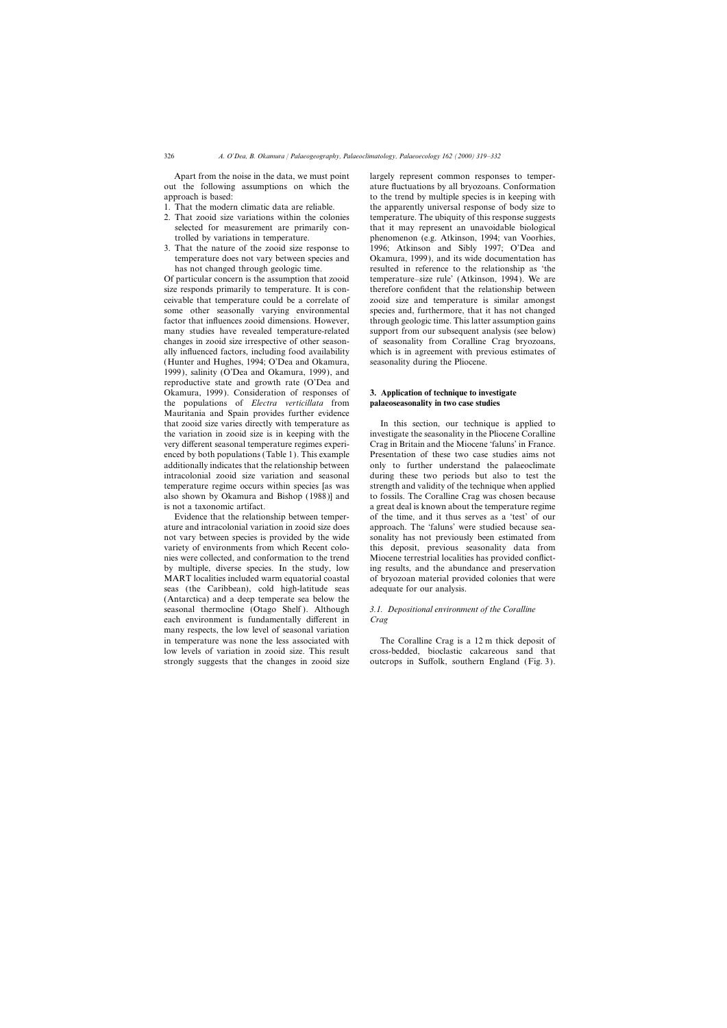- 
- 
- 

Of particular concern is the assumption that zooid temperature–size rule' (Atkinson, 1994). We are size responds primarily to temperature. It is con-<br>therefore confident that the relationship between ceivable that temperature could be a correlate of zooid size and temperature is similar amongst some other seasonally varying environmental species and, furthermore, that it has not changed factor that influences zooid dimensions. However, through geologic time. This latter assumption gains many studies have revealed temperature-related support from our subsequent analysis (see below) changes in zooid size irrespective of other season- of seasonality from Coralline Crag bryozoans, ally influenced factors, including food availability which is in agreement with previous estimates of (Hunter and Hughes, 1994; O'Dea and Okamura, seasonality during the Pliocene. 1999), salinity (O'Dea and Okamura, 1999), and reproductive state and growth rate (O'Dea and Okamura, 1999). Consideration of responses of **3. Application of technique to investigate** the populations of *Electra verticillata* from **palaeoseasonality in two case studies** Mauritania and Spain provides further evidence that zooid size varies directly with temperature as In this section, our technique is applied to the variation in zooid size is in keeping with the investigate the seasonality in the Pliocene Coralline very different seasonal temperature regimes experi- Crag in Britain and the Miocene 'faluns' in France. enced by both populations (Table 1). This example Presentation of these two case studies aims not additionally indicates that the relationship between only to further understand the palaeoclimate intracolonial zooid size variation and seasonal during these two periods but also to test the temperature regime occurs within species [as was strength and validity of the technique when applied also shown by Okamura and Bishop (1988)] and to fossils. The Coralline Crag was chosen because

ature and intracolonial variation in zooid size does approach. The 'faluns' were studied because seanot vary between species is provided by the wide sonality has not previously been estimated from variety of environments from which Recent colo- this deposit, previous seasonality data from nies were collected, and conformation to the trend Miocene terrestrial localities has provided conflictby multiple, diverse species. In the study, low ing results, and the abundance and preservation MART localities included warm equatorial coastal of bryozoan material provided colonies that were seas (the Caribbean), cold high-latitude seas adequate for our analysis. (Antarctica) and a deep temperate sea below the seasonal thermocline (Otago Shelf ). Although *3.1. Depositional environment of the Coralline* each environment is fundamentally different in *Crag* many respects, the low level of seasonal variation in temperature was none the less associated with The Coralline Crag is a 12 m thick deposit of low levels of variation in zooid size. This result cross-bedded, bioclastic calcareous sand that strongly suggests that the changes in zooid size outcrops in Suffolk, southern England (Fig. 3).

Apart from the noise in the data, we must point largely represent common responses to temperout the following assumptions on which the ature fluctuations by all bryozoans. Conformation approach is based: to the trend by multiple species is in keeping with 1. That the modern climatic data are reliable. the apparently universal response of body size to 2. That zooid size variations within the colonies temperature. The ubiquity of this response suggests selected for measurement are primarily con- that it may represent an unavoidable biological trolled by variations in temperature. phenomenon (e.g. Atkinson, 1994; van Voorhies, 3. That the nature of the zooid size response to 1996; Atkinson and Sibly 1997; O'Dea and temperature does not vary between species and Okamura, 1999), and its wide documentation has has not changed through geologic time. resulted in reference to the relationship as 'the

is not a taxonomic artifact.  $\qquad \qquad \text{a great deal is known about the temperature regime}$ Evidence that the relationship between temper- of the time, and it thus serves as a 'test' of our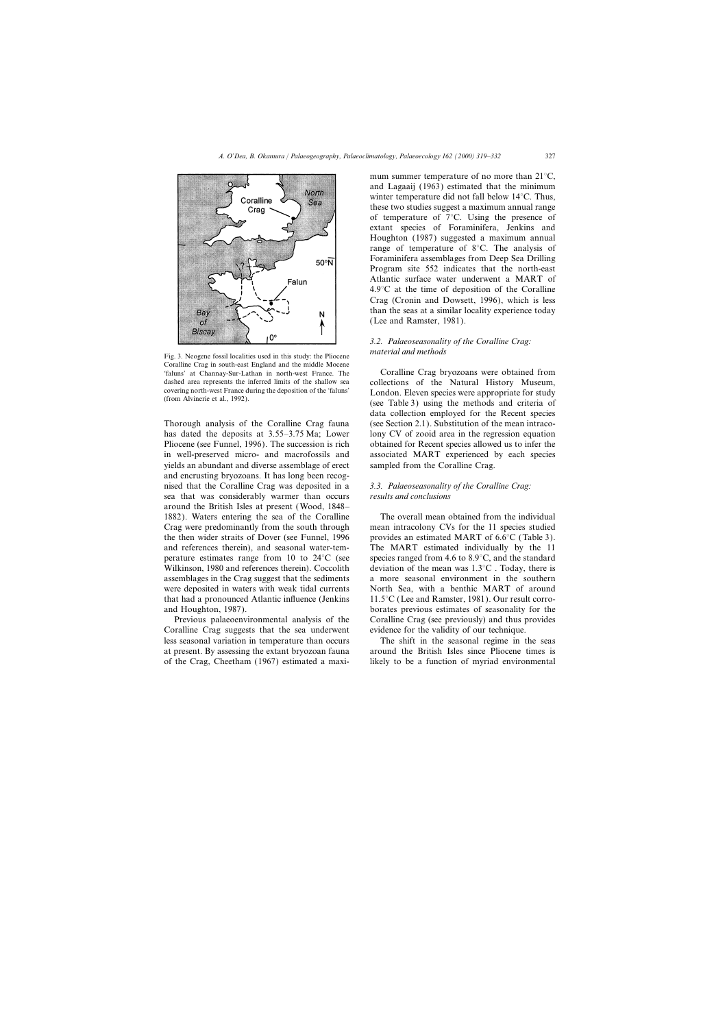

*material and methods* Fig. 3. Neogene fossil localities used in this study: the Pliocene Coralline Crag in south-east England and the middle Mocene 'faluns' at Channay-Sur-Lathan in north-west France. The Coralline Crag bryozoans were obtained from

Thorough analysis of the Coralline Crag fauna (see Section 2.1). Substitution of the mean intracohas dated the deposits at 3.55–3.75 Ma; Lower lony CV of zooid area in the regression equation Pliocene (see Funnel, 1996). The succession is rich obtained for Recent species allowed us to infer the in well-preserved micro- and macrofossils and associated MART experienced by each species yields an abundant and diverse assemblage of erect sampled from the Coralline Crag. and encrusting bryozoans. It has long been recognised that the Coralline Crag was deposited in a *3.3. Palaeoseasonality of the Coralline Crag:* sea that was considerably warmer than occurs *results and conclusions* around the British Isles at present ( Wood, 1848– 1882). Waters entering the sea of the Coralline The overall mean obtained from the individual Crag were predominantly from the south through mean intracolony CVs for the 11 species studied the then wider straits of Dover (see Funnel, 1996 provides an estimated MART of 6.6 $\degree$ C (Table 3). and references therein), and seasonal water-tem- The MART estimated individually by the 11 perature estimates range from 10 to  $24^{\circ}$ C (see species ranged from 4.6 to 8.9 $^{\circ}$ C, and the standard Wilkinson, 1980 and references therein). Coccolith deviation of the mean was 1.3<sup>°</sup>C. Today, there is assemblages in the Crag suggest that the sediments a more seasonal environment in the southern were deposited in waters with weak tidal currents North Sea, with a benthic MART of around that had a pronounced Atlantic influence (Jenkins 11.5°C (Lee and Ramster, 1981). Our result corro-

Coralline Crag suggests that the sea underwent evidence for the validity of our technique. less seasonal variation in temperature than occurs The shift in the seasonal regime in the seas

mum summer temperature of no more than 21°C, and Lagaaij (1963) estimated that the minimum winter temperature did not fall below 14°C. Thus, these two studies suggest a maximum annual range of temperature of 7°C. Using the presence of extant species of Foraminifera, Jenkins and Houghton (1987) suggested a maximum annual range of temperature of 8°C. The analysis of Foraminifera assemblages from Deep Sea Drilling Program site 552 indicates that the north-east Atlantic surface water underwent a MART of 4.9°C at the time of deposition of the Coralline Crag (Cronin and Dowsett, 1996), which is less than the seas at a similar locality experience today (Lee and Ramster, 1981).

# *3.2. Palaeoseasonality of the Coralline Crag:*

dashed area represents the inferred limits of the shallow sea collections of the Natural History Museum, covering north-west France during the deposition of the 'faluns' I ondon Fleven species were appropriate for study covering north-west France during the deposition of the 'faluns' London. Eleven species were appropriate for study (from Alvinerie et al., 1992). (see Table 3) using the methods and criteria of data collection employed for the Recent species

and Houghton, 1987). borates previous estimates of seasonality for the Previous palaeoenvironmental analysis of the Coralline Crag (see previously) and thus provides

at present. By assessing the extant bryozoan fauna around the British Isles since Pliocene times is of the Crag, Cheetham (1967) estimated a maxi- likely to be a function of myriad environmental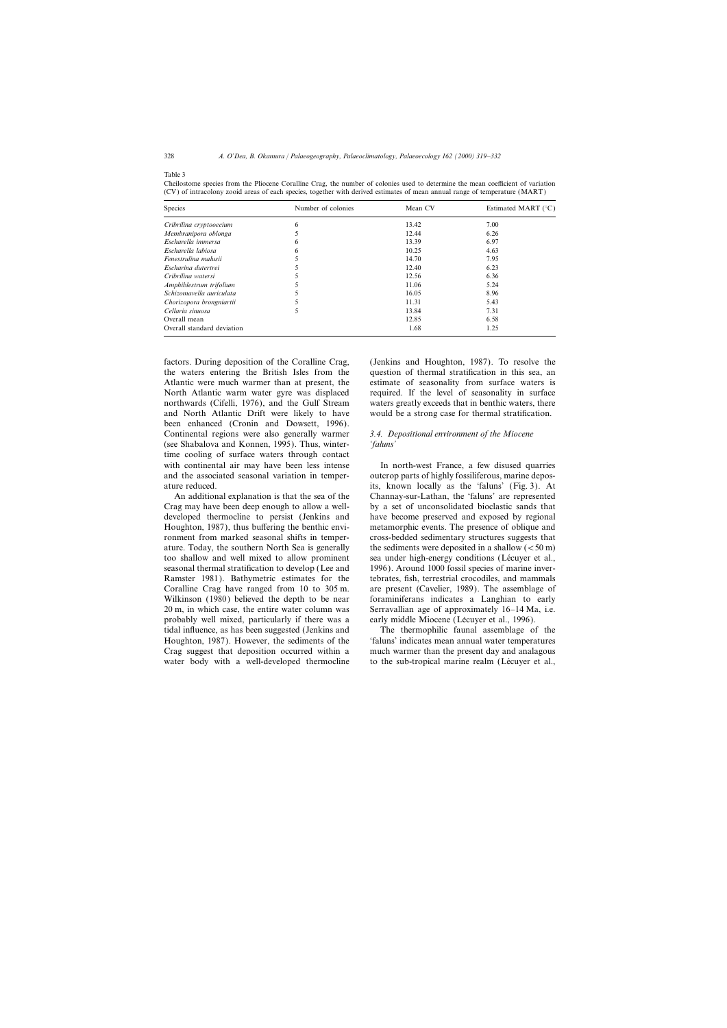Table 3

Cheilostome species from the Pliocene Coralline Crag, the number of colonies used to determine the mean coefficient of variation (CV ) of intracolony zooid areas of each species, together with derived estimates of mean annual range of temperature (MART)

| <b>Species</b>             | Number of colonies | Mean CV | Estimated MART $(^{\circ}C)$ |  |  |
|----------------------------|--------------------|---------|------------------------------|--|--|
| Cribrilina cryptooecium    | 6                  | 13.42   | 7.00                         |  |  |
| Membranipora oblonga       |                    | 12.44   | 6.26                         |  |  |
| Escharella immersa         | 6                  | 13.39   | 6.97                         |  |  |
| Escharella labiosa         | <sub>(</sub>       | 10.25   | 4.63                         |  |  |
| Fenestrulina malusii       |                    | 14.70   | 7.95                         |  |  |
| Escharina dutertrei        |                    | 12.40   | 6.23                         |  |  |
| Cribrilina watersi         |                    | 12.56   | 6.36                         |  |  |
| Amphiblestrum trifolium    |                    | 11.06   | 5.24                         |  |  |
| Schizomavella auriculata   |                    | 16.05   | 8.96                         |  |  |
| Chorizopora brongniartii   |                    | 11.31   | 5.43                         |  |  |
| Cellaria sinuosa           |                    | 13.84   | 7.31                         |  |  |
| Overall mean               |                    | 12.85   | 6.58                         |  |  |
| Overall standard deviation |                    | 1.68    | 1.25                         |  |  |

the waters entering the British Isles from the question of thermal stratification in this sea, an Atlantic were much warmer than at present, the estimate of seasonality from surface waters is North Atlantic warm water gyre was displaced required. If the level of seasonality in surface northwards (Cifelli, 1976), and the Gulf Stream waters greatly exceeds that in benthic waters, there and North Atlantic Drift were likely to have would be a strong case for thermal stratification. been enhanced (Cronin and Dowsett, 1996). Continental regions were also generally warmer *3.4. Depositional environment of the Miocene* (see Shabalova and Konnen, 1995). Thus, winter- *'faluns'* time cooling of surface waters through contact with continental air may have been less intense In north-west France, a few disused quarries and the associated seasonal variation in temper- outcrop parts of highly fossiliferous, marine deposature reduced. its, known locally as the 'faluns' (Fig. 3). At

Crag may have been deep enough to allow a well- by a set of unconsolidated bioclastic sands that developed thermocline to persist (Jenkins and have become preserved and exposed by regional Houghton, 1987), thus buffering the benthic envi-<br>metamorphic events. The presence of oblique and ronment from marked seasonal shifts in temper- cross-bedded sedimentary structures suggests that ature. Today, the southern North Sea is generally the sediments were deposited in a shallow  $(< 50 \text{ m}$ ) too shallow and well mixed to allow prominent sea under high-energy conditions (Lécuyer et al., too shallow and well mixed to allow prominent seasonal thermal stratification to develop (Lee and 1996). Around 1000 fossil species of marine inver-Ramster 1981). Bathymetric estimates for the tebrates, fish, terrestrial crocodiles, and mammals Coralline Crag have ranged from 10 to 305 m. are present (Cavelier, 1989). The assemblage of Wilkinson (1980) believed the depth to be near foraminiferans indicates a Langhian to early 20 m, in which case, the entire water column was Serravallian age of approximately 16–14 Ma, i.e. probably well mixed, particularly if there was a early middle Miocene (Lécuyer et al., 1996). tidal influence, as has been suggested (Jenkins and The thermophilic faunal assemblage of the Houghton, 1987). However, the sediments of the 'faluns' indicates mean annual water temperatures Houghton, 1987). However, the sediments of the Crag suggest that deposition occurred within a much warmer than the present day and analagous

factors. During deposition of the Coralline Crag, (Jenkins and Houghton, 1987). To resolve the

An additional explanation is that the sea of the Channay-sur-Lathan, the 'faluns' are represented

water body with a well-developed thermocline to the sub-tropical marine realm (Lécuyer et al.,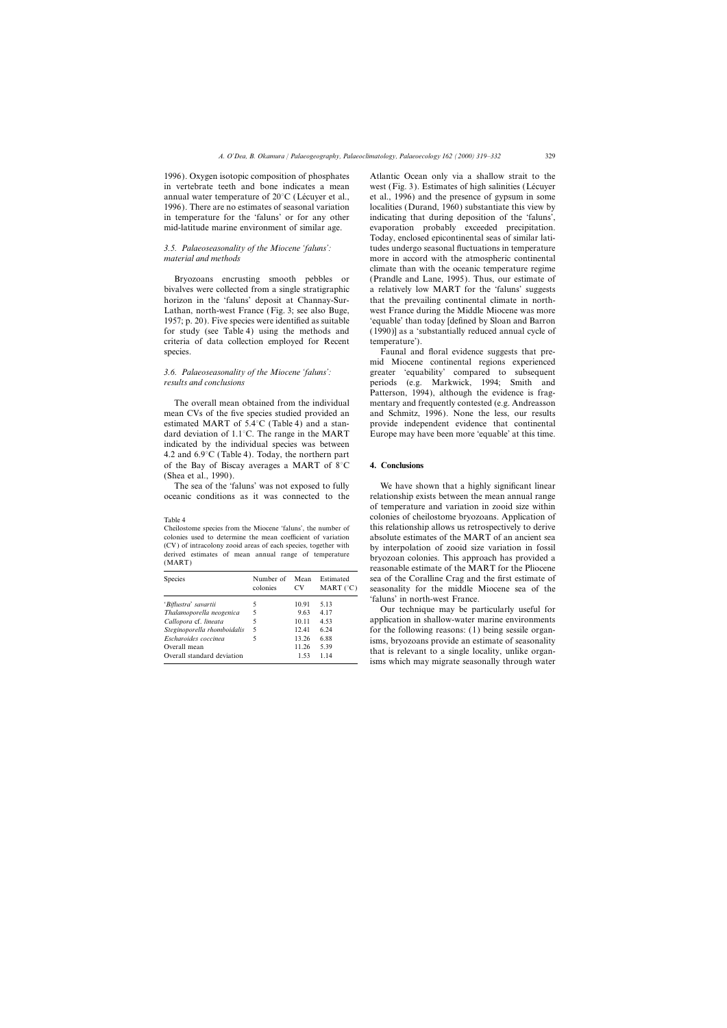1996). Oxygen isotopic composition of phosphates Atlantic Ocean only via a shallow strait to the in vertebrate teeth and bone indicates a mean west  $(Fig. 3)$ . Estimates of high salinities (Lécuver annual water temperature of  $20^{\circ}$ C (Lécuver et al., et al., 1996) and the presence of gypsum in some in temperature for the 'faluns' or for any other indicating that during deposition of the 'faluns', mid-latitude marine environment of similar age. evaporation probably exceeded precipitation.

bivalves were collected from a single stratigraphic a relatively low MART for the 'faluns' suggests horizon in the 'faluns' deposit at Channay-Sur-<br>that the prevailing continental climate in north-Lathan, north-west France (Fig. 3; see also Buge, west France during the Middle Miocene was more for study (see Table 4) using the methods and (1990)] as a 'substantially reduced annual cycle of criteria of data collection employed for Recent temperature'). species. Faunal and floral evidence suggests that pre-

mean CVs of the five species studied provided an and Schmitz, 1996). None the less, our results estimated MART of 5.4°C (Table 4) and a stan-<br>provide independent evidence that continental estimated MART of  $5.4^{\circ}$ C (Table 4) and a standard deviation of 1.1°C. The range in the MART Europe may have been more 'equable' at this time. indicated by the individual species was between 4.2 and 6.9°C (Table 4). Today, the northern part of the Bay of Biscay averages a MART of 8°C **4. Conclusions** (Shea et al., 1990).

oceanic conditions as it was connected to the relationship exists between the mean annual range

| <b>Species</b>              | Number of<br>colonies | Mean<br>CV | Estimated<br>MART $(^{\circ}C)$ |  |
|-----------------------------|-----------------------|------------|---------------------------------|--|
| 'Biflustra' savartii        | 5                     | 10.91      | 5.13                            |  |
| Thalamoporella neogenica    | 5                     | 9.63       | 4.17                            |  |
| Callopora cf. lineata       |                       | 10.11      | 4.53                            |  |
| Steginoporella rhomboidalis | 5                     | 12.41      | 6.24                            |  |
| Escharoides coccinea        |                       | 13.26      | 6.88                            |  |
| Overall mean                |                       | 11.26      | 5.39                            |  |
| Overall standard deviation  |                       | 1.53       | 1 14                            |  |

1996). There are no estimates of seasonal variation localities (Durand, 1960) substantiate this view by Today, enclosed epicontinental seas of similar lati-*3.5. Palaeoseasonality of the Miocene 'faluns':* tudes undergo seasonal fluctuations in temperature *material and methods* more in accord with the atmospheric continental climate than with the oceanic temperature regime Bryozoans encrusting smooth pebbles or (Prandle and Lane, 1995). Thus, our estimate of 1957; p. 20). Five species were identified as suitable 'equable' than today [defined by Sloan and Barron

mid Miocene continental regions experienced *3.6. Palaeoseasonality of the Miocene 'faluns':* greater 'equability' compared to subsequent *results and conclusions* periods (e.g. Markwick, 1994; Smith and Patterson, 1994), although the evidence is frag-The overall mean obtained from the individual mentary and frequently contested (e.g. Andreasson

The sea of the 'faluns' was not exposed to fully We have shown that a highly significant linear of temperature and variation in zooid size within colonies of cheilostome bryozoans. Application of Table 4 Cheilostome species from the Miocene 'faluns', the number of this relationship allows us retrospectively to derive colonies used to determine the mean coefficient of variation absolute estimates of the MART of an ancient sea<br>(CV) of intracolony zooid areas of each species, together with by interpolation of zooid size variation in fossi (CV) of intracolony zooid areas of each species, together with<br>derived estimates of mean annual range of temperature<br>(MART)<br>(MART)<br>derived a reasonable estimate of the MART for the Pliocene sea of the Coralline Crag and the first estimate of seasonality for the middle Miocene sea of the 'faluns' in north-west France.<br>Our technique may be particularly useful for

application in shallow-water marine environments for the following reasons: (1) being sessile organisms, bryozoans provide an estimate of seasonality<br>that is relevant to a single locality, unlike organ-<br>isms which may migrate seasonally through water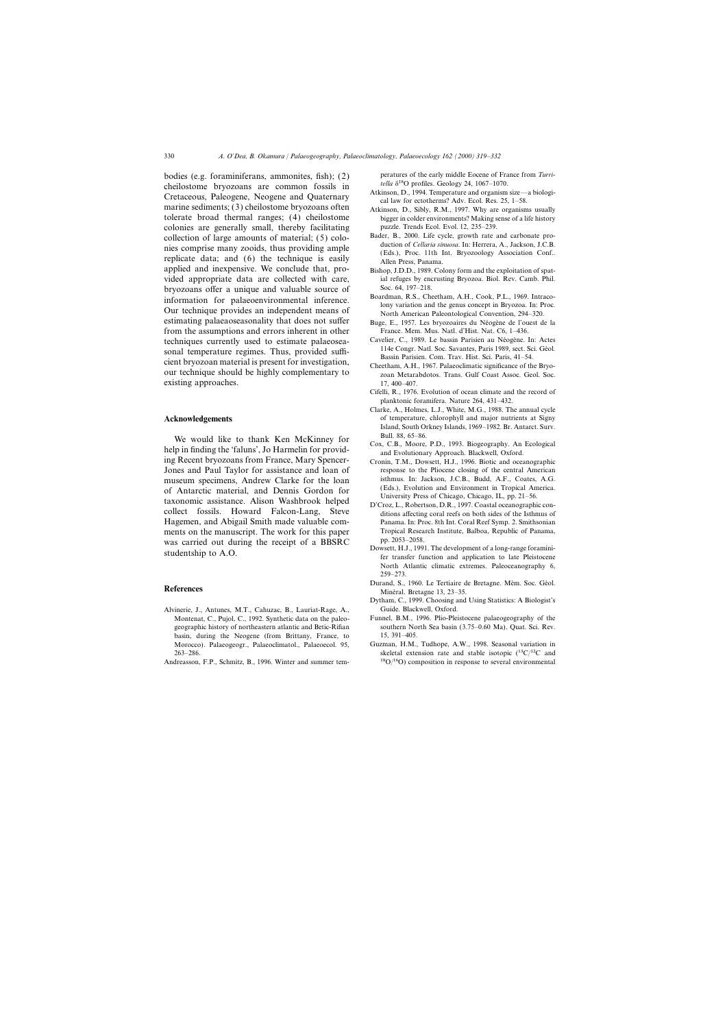bodies (e.g. foraminiferans, ammonites, fish); (2) peratures of the early middle Eocene of France from *Turri-*<br>
challoctome, bruggeons, are common, fossile in *tella*  $\delta^{18}$ O profiles. Geology 24, 1067–1070. cheilostome bryozoans are common fossils in<br>Cretaceous, Paleogene, Neogene and Quaternary<br>marine sediments; (3) cheilostome bryozoans often<br>Marine Schultz, and School Callaw for ectotherms? Adv. Ecol. Res. 25, 1–58.<br>Atkins tolerate broad thermal ranges; (4) cheilostome bigger in colder environments? Making sense of a life history colonies are generally small, thereby facilitating puzzle. Trends Ecol. Evol. 12, 235–239.<br>
collection of large amounts of material: (5) colored Bader, B., 2000. Life cycle, growth rate and carbonate procollection of large amounts of material; (5) colo-<br>nies comprise many zooids, thus providing ample<br>replicate data; and (6) the technique is easily<br>allen Press. Panama.<br>Allen Press. Panama. applied and inexpensive. We conclude that, pro- Bishop, J.D.D., 1989. Colony form and the exploitation of spatvided appropriate data are collected with care, ial refuges by encrusting Bryozoa. Biol. Rev. Camb. Phil.<br>
bryozoans offer a unique and valuable source of Soc. 64, 197–218. bryozoans offer a unique and valuable source of soc. 64, 197–218.<br>
information for palaeoenvironmental inference.<br>
Our technique provides an independent means of North American Paleontological Convention, 294–320. estimating palaeaoseasonality that does not suffer Buge, E., 1957. Les bryozoaires du Néogène de l'ouest de la from the assumptions and errors inherent in other France. Mem. Mus. Natl. d'Hist. Nat. C6, 1–436. techniques currently used to estimate palaeosea-<br>
Cavelier, C., 1989. Le bassin Parisien au Néogène. In: Actes connel temperature regimes. Thus, previded cuffi sonal temperature regimes. Thus, provided suffi-<br>cient bryozoan material is present for investigation,<br>our technique should be highly complementary to<br>zoan Metarabdotos. Trans. Gulf Coast Assoc. Geol. Soc. existing approaches. 17, 400–407.

We would like to thank Ken McKinney for Bull. 88, 65–86.<br>
help in finding the 'faluns', Jo Harmelin for provid-<br>
and Evolutionary Approach. Blackwell, Oxford.<br>
Cox, C.B., Moore, P.D., 1993. Biogeography. An Ecological and ing Recent bryozoans from France, Mary Spencer- Cronin, T.M., Dowsett, H.J., 1996. Biotic and oceanographic Jones and Paul Taylor for assistance and loan of response to the Pliocene closing of the central American museum specimens. Andrew Clarke for the loan isthmus. In: Jackson, J.C.B., Budd, A.F., Coates, A.G. museum specimens, Andrew Clarke for the loan isthmus. In: Jackson, J.C.B., Budd, A.F., Coates, A.G.<br>
of Antanctic motorial and Dannis Cordon for (Eds.), Evolution and Environment in Tropical America. of Antarctic material, and Dennis Gordon for<br>taxonomic assistance. Alison Washbrook helped<br>D'Croz, L., Robertson, D.R., 1997. Coastal oceanographic concollect fossils. Howard Falcon-Lang, Steve ditions affecting coral reefs on both sides of the Isthmus of Hagemen, and Abigail Smith made valuable com- Panama. In: Proc. 8th Int. Coral Reef Symp. 2. Smithsonian ments on the manuscript. The work for this paper Tropical Research Institute, Balboa, Republic of Panama, was carried out during the receipt of a BBSBC pp. 2053–2058. was carried out during the receipt of a BBSRC Dowsett, H.J., 1991. The development of a long-range foramini-<br>studentship to A.O. fer transfer function and application to late Pleistocene

- Alvinerie, J., Antunes, M.T., Cahuzac, B., Lauriat-Rage, A., Guide. Blackwell, Oxford.<br>Montenat, C., Puiol, C., 1992. Synthetic data on the paleo-<br>Funnel, B.M., 1996. Plio-Pleistocene palaeogeography of the geographic history of northeastern atlantic and Betic-Rifian southern No<br>basin, during the Neogene (from Brittany, France, to 15, 391–405. basin, during the Neogene (from Brittany, France, to Morocco). Palaeogeogr., Palaeoclimatol., Palaeoecol. 95, Guzman, H.M., Tudhope, A.W., 1998. Seasonal variation in
- 

- 
- 
- 
- 
- 
- 
- 
- 
- Cifelli, R., 1976. Evolution of ocean climate and the record of planktonic foramifera. Nature 264, 431–432.
- Clarke, A., Holmes, L.J., White, M.G., 1988. The annual cycle **Acknowledgements of temperature, chlorophyll and major nutrients at Signy** Island, South Orkney Islands, 1969–1982. Br. Antarct. Surv.
	-
	-
	-
	- North Atlantic climatic extremes. Paleoceanography 6, 259–273.
- Durand, S., 1960. Le Tertiaire de Bretagne. Mèm. Soc. Gèol. **References** Minèral. Bretagne 13, 23–35.
	- Dytham, C., 1999. Choosing and Using Statistics: A Biologist's
	- Montenat, C., Pujol, C., 1992. Synthetic data on the paleo-<br>
	geographic history of northeastern atlantic and Betic-Rifian<br>
	Southern North Sea basin (3.75–0.60 Ma). Quat. Sci. Rev.
- 263–286. skeletal extension rate and stable isotopic  $(^{13}C/^{12}C)$  and  $.^{28}C$ Andreasson, F.P., Schmitz, B., 1996. Winter and summer tem-  ${}^{18}O/{}^{16}O$  composition in response to several environmental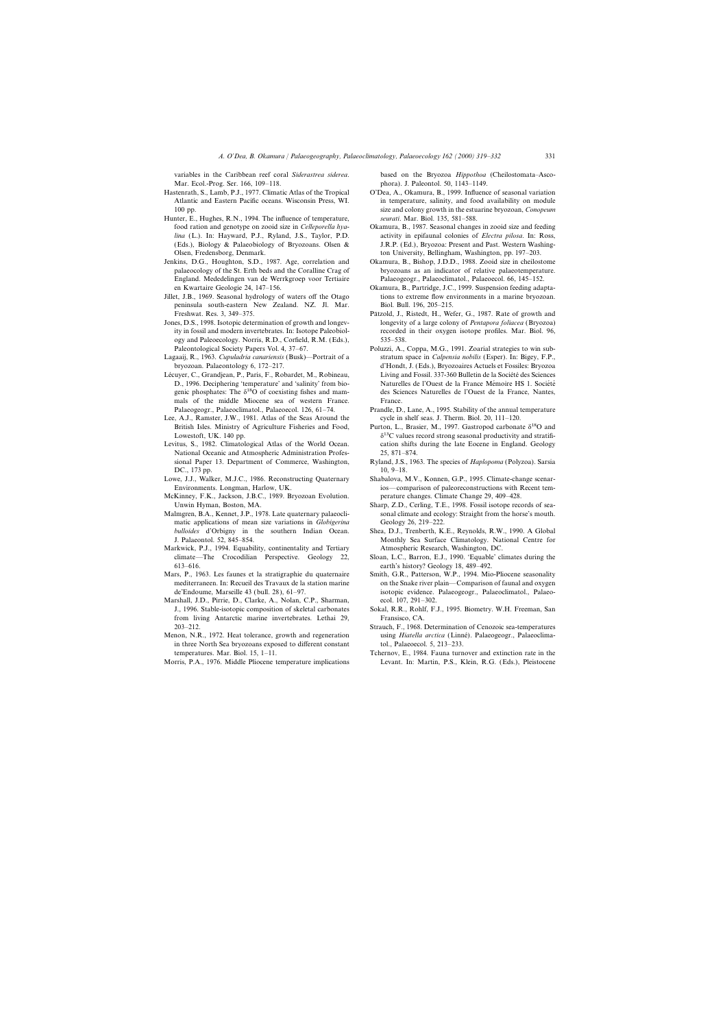variables in the Caribbean reef coral *Siderastrea siderea*. based on the Bryozoa *Hippothoa* (Cheilostomata–Asco-Mar. Ecol.-Prog. Ser. 166, 109–118. phora). J. Paleontol. 50, 1143–1149.

- Hastenrath, S., Lamb, P.J., 1977. Climatic Atlas of the Tropical O'Dea, A., Okamura, B., 1999. Influence of seasonal variation
- Hunter, E., Hughes, R.N., 1994. The influence of temperature, *seurati*. Mar. Biol. 135, 581–588. food ration and genotype on zooid size in *Celleporella hya-* Okamura, B., 1987. Seasonal changes in zooid size and feeding Olsen, Fredensborg, Denmark. ton University, Bellingham, Washington, pp. 197–203.
- England. Mededelingen van de Werrkgroep voor Tertiaire Palaeogeogr., Palaeoclimatol., Palaeoecol. 66, 145-152. en Kwartaire Geologie 24, 147–156. Okamura, B., Partridge, J.C., 1999. Suspension feeding adapta-
- peninsula south-eastern New Zealand. NZ. Jl. Mar. Biol. Bull. 196, 205–215. Freshwat. Res. 3, 349–375. Pätzold, J., Ristedt, H., Wefer, G., 1987. Rate of growth and
- ogy and Paleoecology. Norris, R.D., Corfield, R.M. (Eds.), 535–538. Paleontological Society Papers Vol. 4, 37–67. Poluzzi, A., Coppa, M.G., 1991. Zoarial strategies to win sub-
- 
- mals of the middle Miocene sea of western France. France. Palaeogeogr., Palaeoclimatol., Palaeoecol. 126, 61–74. Prandle, D., Lane, A., 1995. Stability of the annual temperature
- Lee, A.J., Ramster, J.W., 1981. Atlas of the Seas Around the cycle in shelf seas. J. Therm. Biol. 20, 111–120. British Isles. Ministry of Agriculture Fisheries and Food, Purton, L., Brasier, M., 1997. Gastropod carbonate  $\delta^{18}O$  and
- National Oceanic and Atmospheric Administration Profes- 25, 871–874. sional Paper 13. Department of Commerce, Washington, Ryland, J.S., 1963. The species of *Haplopoma* (Polyzoa). Sarsia DC., 173 pp. 10, 9–18.
- Lowe, J.J., Walker, M.J.C., 1986. Reconstructing Quaternary Shabalova, M.V., Konnen, G.P., 1995. Climate-change scenar-
- McKinney, F.K., Jackson, J.B.C., 1989. Bryozoan Evolution. perature changes. Climate Change 29, 409–428. Unwin Hyman, Boston, MA. Sharp, Z.D., Cerling, T.E., 1998. Fossil isotope records of sea-
- matic applications of mean size variations in *Globigerina* Geology 26, 219–222. *bulloides* d'Orbigny in the southern Indian Ocean. Shea, D.J., Trenberth, K.E., Reynolds, R.W., 1990. A Global
- Markwick, P.J., 1994. Equability, continentality and Tertiary Atmospheric Research, Washington, DC. climate—The Crocodilian Perspective. Geology 22, Sloan, L.C., Barron, E.J., 1990. 'Equable' climates during the 613–616. earth's history? Geology 18, 489–492.
- Mars, P., 1963. Les faunes et la stratigraphie du quaternaire Smith, G.R., Patterson, W.P., 1994. Mio-Pliocene seasonality
- Marshall, J.D., Pirrie, D., Clarke, A., Nolan, C.P., Sharman, ecol. 107, 291–302. J., 1996. Stable-isotopic composition of skeletal carbonates Sokal, R.R., Rohlf, F.J., 1995. Biometry. W.H. Freeman, San from living Antarctic marine invertebrates. Lethai 29, Fransisco, CA. 203–212. Strauch, F., 1968. Determination of Cenozoic sea-temperatures
- in three North Sea bryozoans exposed to different constant tol., Palaeoecol. 5, 213–233. temperatures. Mar. Biol. 15, 1–11. Tchernov, E., 1984. Fauna turnover and extinction rate in the
- 

- Atlantic and Eastern Pacific oceans. Wisconsin Press, WI. in temperature, salinity, and food availability on module 100 pp. size and colony growth in the estuarine bryozoan, *Conopeum*
- *lina* (L.). In: Hayward, P.J., Ryland, J.S., Taylor, P.D. activity in epifaunal colonies of *Electra pilosa*. In: Ross, (Eds.), Biology & Palaeobiology of Bryozoans. Olsen & J.R.P. (Ed.), Bryozoa: Present and Past. Western Washing-
- Jenkins, D.G., Houghton, S.D., 1987. Age, correlation and Okamura, B., Bishop, J.D.D., 1988. Zooid size in cheilostome palaeocology of the St. Erth beds and the Coralline Crag of bryozoans as an indicator of relative palaeotemperature.
- Jillet, J.B., 1969. Seasonal hydrology of waters off the Otago tions to extreme flow environments in a marine bryozoan.
- Jones, D.S., 1998. Isotopic determination of growth and longev- longevity of a large colony of *Pentapora foliacea* (Bryozoa) ity in fossil and modern invertebrates. In: Isotope Paleobiol- recorded in their oxygen isotope profiles. Mar. Biol. 96,
- Lagaaij, R., 1963. *Cupuladria canariensis* (Busk)—Portrait of a stratum space in *Calpensia nobilis* (Esper). In: Bigey, F.P., bryozoan. Palaeontology 6, 172–217. d'Hondt, J. (Eds.), Bryozoaires Actuels et Fossiles: Bryozoa Lécuyer, C., Grandjean, P., Paris, F., Robardet, M., Robineau, Living and Fossil. 337-360 Bulletin de la Société des Sciences D., 1996. Deciphering 'temperature' and 'salinity' from bio-<br>
Raturelles de l'Ouest de la France Mémoire HS 1. Société<br>

des Sciences Naturelles de l'Ouest de la France. Nantes. des Sciences Naturelles de l'Ouest de la France, Nantes,
	-
- Lowestoft, UK. 140 pp.  $\delta^{13}$ C values record strong seasonal productivity and stratifi-Levitus, S., 1982. Climatological Atlas of the World Ocean. cation shifts during the late Eocene in England. Geology
	-
	- Environments. Longman, Harlow, UK. ios—comparison of paleoreconstructions with Recent tem-
- Malmgren, B.A., Kennet, J.P., 1978. Late quaternary palaeocli- sonal climate and ecology: Straight from the horse's mouth.
	- J. Palaeontol. 52, 845–854. Monthly Sea Surface Climatology. National Centre for
		-
	- mediterraneen. In: Recueil des Travaux de la station marine on the Snake river plain—Comparison of faunal and oxygen de'Endoume, Marseille 43 (bull. 28), 61–97. isotopic evidence. Palaeogeogr., Palaeoclimatol., Palaeo-
		-
- Menon, N.R., 1972. Heat tolerance, growth and regeneration using *Hiatella arctica* (Linne´). Palaeogeogr., Palaeoclima-
- Morris, P.A., 1976. Middle Pliocene temperature implications Levant. In: Martin, P.S., Klein, R.G. (Eds.), Pleistocene